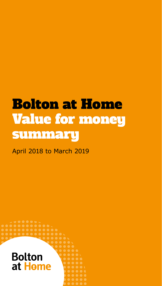# Bolton at Home Value for money summary

April 2018 to March 2019

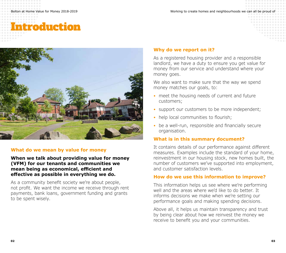# Introduction



## **What do we mean by value for money**

### **When we talk about providing value for money (VFM) for our tenants and communities we mean being as economical, efficient and effective as possible in everything we do.**

As a community benefit society we're about people, not profit. We want the income we receive through rent payments, bank loans, government funding and grants to be spent wisely.

### **Why do we report on it?**

As a registered housing provider and a responsible landlord, we have a duty to ensure you get value for money from our service and understand where your money goes.

We also want to make sure that the way we spend money matches our goals, to:

- meet the housing needs of current and future customers;
- support our customers to be more independent;
- help local communities to flourish;
- be a well-run, responsible and financially secure organisation.

## **What is in this summary document?**

It contains details of our performance against different measures. Examples include the standard of your home, reinvestment in our housing stock, new homes built, the number of customers we've supported into employment, and customer satisfaction levels.

### **How do we use this information to improve?**

This information helps us see where we're performing well and the areas where we'd like to do better. It informs decisions we make when we're setting our performance goals and making spending decisions.

Above all, it helps us maintain transparency and trust by being clear about how we reinvest the money we receive to benefit you and your communities.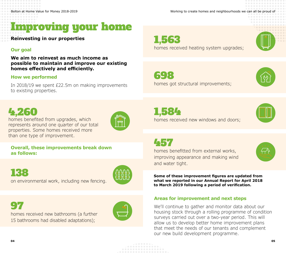

**Reinvesting in our properties**

#### **Our goal**

**We aim to reinvest as much income as possible to maintain and improve our existing homes effectively and efficiently.** 

#### **How we performed**

In 2018/19 we spent £22.5m on making improvements to existing properties.

1,563 homes received heating system upgrades;



698



homes got structural improvements;





457

homes benefitted from external works, improving appearance and making wind and water tight.

**Some of these improvement figures are updated from what we reported in our Annual Report for April 2018 to March 2019 following a period of verification.**

#### **Areas for improvement and next steps**

We'll continue to gather and monitor data about our housing stock through a rolling programme of condition surveys carried out over a two-year period. This will allow us to develop better home improvement plans that meet the needs of our tenants and complement our new build development programme.

# 4,260

homes benefited from upgrades, which represents around one quarter of our total properties. Some homes received more than one type of improvement.



**Overall, these improvements break down as follows:**

138 on environmental work, including new fencing.



# 97

homes received new bathrooms (a further 15 bathrooms had disabled adaptations);

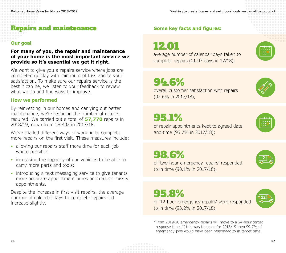

### **Our goal**

**For many of you, the repair and maintenance of your home is the most important service we provide so it's essential we get it right.**

We want to give you a repairs service where jobs are completed quickly with minimum of fuss and to your satisfaction. To make sure our repairs service is the best it can be, we listen to your feedback to review what we do and find ways to improve.

#### **How we performed**

By reinvesting in our homes and carrying out better maintenance, we're reducing the number of repairs required. We carried out a total of **57,770** repairs in 2018/19, down from 58,402 in 2017/18.

We've trialled different ways of working to complete more repairs on the first visit. These measures include:

- allowing our repairs staff more time for each job where possible;
- increasing the capacity of our vehicles to be able to carry more parts and tools;
- introducing a text messaging service to give tenants more accurate appointment times and reduce missed appointments.

Despite the increase in first visit repairs, the average number of calendar days to complete repairs did increase slightly.

# **Some key facts and figures:**

12.01

average number of calendar days taken to complete repairs (11.07 days in 17/18);



# 94.6%

overall customer satisfaction with repairs (92.6% in 2017/18);





of repair appointments kept to agreed date and time (95.7% in 2017/18);



98.6%



**12**

of 'two-hour emergency repairs' responded to in time (98.1% in 2017/18);

# 95.8%



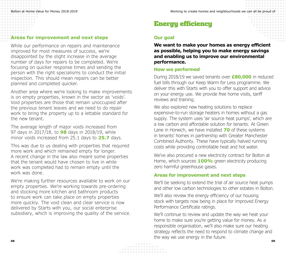### **Areas for improvement and next steps**

While our performance on repairs and maintenance improved for most measures of success, we're disappointed by the slight increase in the average number of days for repairs to be completed. We're focusing on quicker response times and sending the person with the right specialisms to conduct the initial inspection. This should mean repairs can be better planned and completed quicker.

Another area where we're looking to make improvements is on empty properties, known in the sector as 'voids'. Void properties are those that remain unoccupied after the previous tenant leaves and we need to do repair work to bring the property up to a lettable standard for the new tenant.

The average length of major voids increased from 97 days in 2017/18, to **98** days in 2018/19, while minor voids increased from 25.1 days to **25.7** days.

This was due to us dealing with properties that required more work and which remained empty for longer. A recent change in the law also meant some properties that the tenant would have chosen to live in while work was completed had to remain empty until the work was done.

We're making further resources available to work on our empty properties. We're working towards pre-ordering and stocking more kitchen and bathroom products to ensure work can take place on empty properties more quickly. The void clean and clear service is now delivered by Starts with you, our social enterprise subsidiary, which is improving the quality of the service.

# Energy efficiency

### **Our goal**

**We want to make your homes as energy efficient as possible, helping you to make energy savings and enabling us to improve our environmental performance.** 

#### **How we performed**

During 2018/19 we saved tenants over **£80,000** in reduced fuel bills through our Keep Warm for Less programme. We deliver this with Starts with you to offer support and advice on your energy use. We provide free home visits, tariff reviews and training.

We also explored new heating solutions to replace expensive-to-run storage heaters in homes without a gas supply. The system uses 'air source heat pumps', which are a low carbon and affordable solution for tenants. At Green Lane in Horwich, we have installed **70** of these systems in tenants' homes in partnership with Greater Manchester Combined Authority. These have typically halved running costs while providing controllable heat and hot water.

We've also procured a new electricity contract for Bolton at Home, which sources **100%** green electricity producing zero harmful greenhouse gases.

#### **Areas for improvement and next steps**

We'll be seeking to extend the trial of air source heat pumps and other low carbon technologies to other estates in Bolton.

We'll also review the energy efficiency of our housing stock with targets now being in place for improved Energy Performance Certificate ratings.

We'll continue to review and update the way we heat your home to make sure you're getting value for money. As a responsible organisation, we'll also make sure our heating strategy reflects the need to respond to climate change and the way we use energy in the future.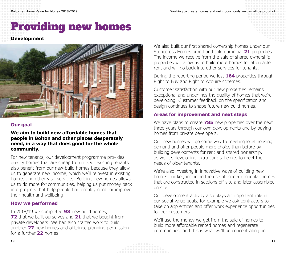# Providing new homes

## **Development**



# **Our goal**

**We aim to build new affordable homes that people in Bolton and other places desperately need, in a way that does good for the whole community.** 

For new tenants, our development programme provides quality homes that are cheap to run. Our existing tenants also benefit from our new-build homes because they allow us to generate new income, which we'll reinvest in existing homes and other vital services. Building new homes allows us to do more for communities, helping us put money back into projects that help people find employment, or improve their health and wellbeing.

# **How we performed**

In 2018/19 we completed **93** new build homes, **72** that we built ourselves and **21** that we bought from private developers. We had also started work to build another **27** new homes and obtained planning permission for a further **22** homes.

We also built our first shared ownership homes under our Stonecross Homes brand and sold our initial **21** properties. The income we receive from the sale of shared ownership properties will allow us to build more homes for affordable rent and will go back into other services for tenants.

During the reporting period we lost **164** properties through Right to Buy and Right to Acquire schemes.

Customer satisfaction with our new properties remains exceptional and underlines the quality of homes that we're developing. Customer feedback on the specification and design continues to shape future new build homes.

# **Areas for improvement and next steps**

We have plans to create **785** new properties over the next three years through our own developments and by buying homes from private developers.

Our new homes will go some way to meeting local housing demand and offer people more choice than before by building developments for rent and shared ownership, as well as developing extra care schemes to meet the needs of older tenants.

We're also investing in innovative ways of building new homes quicker, including the use of modern modular homes that are constructed in sections off site and later assembled on site.

Our development activity also plays an important role in our social value goals, for example we ask contractors to take on apprentices and offer work experience opportunities for our customers.

We'll use the money we get from the sale of homes to build more affordable rented homes and regenerate communities, and this is what we'll be concentrating on.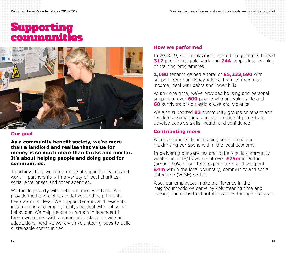# Supporting communi



#### **Our goal**

**As a community benefit society, we're more than a landlord and realise that value for money is so much more than bricks and mortar. It's about helping people and doing good for communities.** 

To achieve this, we run a range of support services and work in partnership with a variety of local charities, social enterprises and other agencies.

We tackle poverty with debt and money advice. We provide food and clothes initiatives and help tenants keep warm for less. We support tenants and residents into training and employment, and deal with antisocial behaviour. We help people to remain independent in their own homes with a community alarm service and adaptations. And we work with volunteer groups to build sustainable communities.

#### **How we performed**

In 2018/19, our employment related programmes helped **317** people into paid work and **244** people into learning or training programmes.

**1,080** tenants gained a total of **£5,233,690** with support from our Money Advice Team to maximise income, deal with debts and lower bills.

At any one time, we've provided housing and personal support to over **600** people who are vulnerable and **60** survivors of domestic abuse and violence.

We also supported **83** community groups or tenant and resident associations, and ran a range of projects to develop people's skills, health and confidence.

### **Contributing more**

We're committed to increasing social value and maximising our spend within the local economy.

In delivering our services and to help build community wealth, in 2018/19 we spent over **£25m** in Bolton (around 50% of our total expenditure) and we spent **£4m** within the local voluntary, community and social enterprise (VCSE) sector.

Also, our employees make a difference in the neighbourhoods we serve by volunteering time and making donations to charitable causes through the year.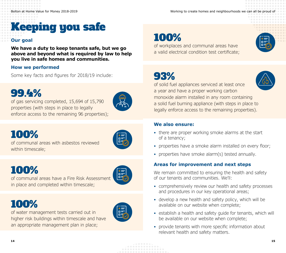# Keeping you safe

## **Our goal**

**We have a duty to keep tenants safe, but we go above and beyond what is required by law to help you live in safe homes and communities.**

## **How we performed**

Some key facts and figures for 2018/19 include:

# 99.4%

of gas servicing completed, 15,694 of 15,790 properties (with steps in place to legally enforce access to the remaining 96 properties);



# 100%



of communal areas with asbestos reviewed within timescale;



of communal areas have a Fire Risk Assessment in place and completed within timescale;

# 100%

100%

of water management tests carried out in higher risk buildings within timescale and have an appropriate management plan in place;

# 100%

of workplaces and communal areas have a valid electrical condition test certificate;

# 93%



of solid fuel appliances serviced at least once a year and have a proper working carbon monoxide alarm installed in any room containing a solid fuel burning appliance (with steps in place to legally enforce access to the remaining properties).

## **We also ensure:**

- there are proper working smoke alarms at the start of a tenancy;
- properties have a smoke alarm installed on every floor;
- properties have smoke alarm(s) tested annually.

## **Areas for improvement and next steps**

We remain committed to ensuring the health and safety of our tenants and communities. We'll:

- comprehensively review our health and safety processes and procedures in our key operational areas;
- develop a new health and safety policy, which will be available on our website when complete;
- establish a health and safety quide for tenants, which will be available on our website when complete;
- provide tenants with more specific information about relevant health and safety matters.